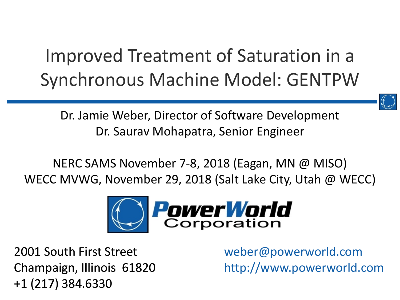#### Improved Treatment of Saturation in a Synchronous Machine Model: GENTPW



Dr. Jamie Weber, Director of Software Development Dr. Saurav Mohapatra, Senior Engineer

NERC SAMS November 7-8, 2018 (Eagan, MN @ MISO) WECC MVWG, November 29, 2018 (Salt Lake City, Utah @ WECC)



2001 South First Street Champaign, Illinois 61820 +1 (217) 384.6330

weber@powerworld.com http://www.powerworld.com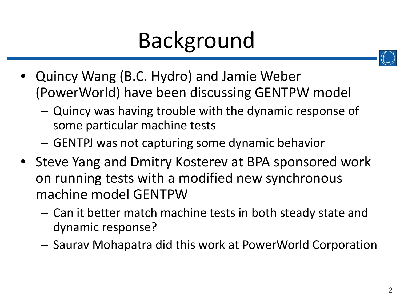## Background

- 
- Quincy Wang (B.C. Hydro) and Jamie Weber (PowerWorld) have been discussing GENTPW model
	- Quincy was having trouble with the dynamic response of some particular machine tests
	- GENTPJ was not capturing some dynamic behavior
- Steve Yang and Dmitry Kosterev at BPA sponsored work on running tests with a modified new synchronous machine model GENTPW
	- Can it better match machine tests in both steady state and dynamic response?
	- Saurav Mohapatra did this work at PowerWorld Corporation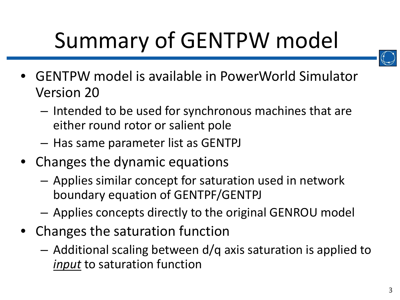# Summary of GENTPW model



- GENTPW model is available in PowerWorld Simulator Version 20
	- Intended to be used for synchronous machines that are either round rotor or salient pole
	- Has same parameter list as GENTPJ
- Changes the dynamic equations
	- Applies similar concept for saturation used in network boundary equation of GENTPF/GENTPJ
	- Applies concepts directly to the original GENROU model
- Changes the saturation function
	- Additional scaling between d/q axis saturation is applied to *input* to saturation function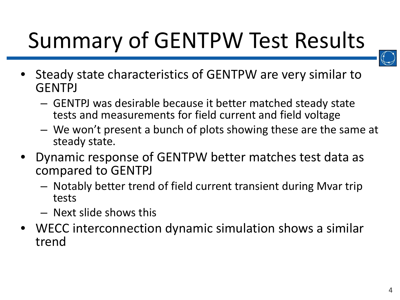## Summary of GENTPW Test Results



- Steady state characteristics of GENTPW are very similar to **GENTPJ** 
	- GENTPJ was desirable because it better matched steady state tests and measurements for field current and field voltage
	- We won't present a bunch of plots showing these are the same at steady state.
- Dynamic response of GENTPW better matches test data as compared to GENTPJ
	- Notably better trend of field current transient during Mvar trip tests
	- Next slide shows this
- WECC interconnection dynamic simulation shows a similar trend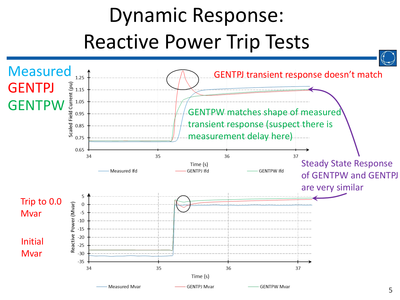## Dynamic Response: Reactive Power Trip Tests

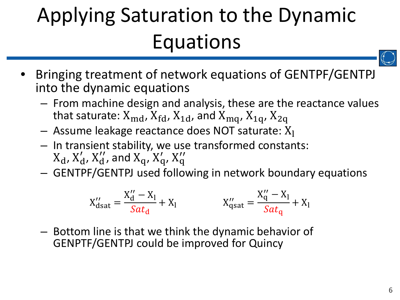## Applying Saturation to the Dynamic Equations

- 
- Bringing treatment of network equations of GENTPF/GENTPJ into the dynamic equations
	- From machine design and analysis, these are the reactance values that saturate:  $X_{\text{md}}$ ,  $X_{\text{fd}}$ ,  $X_{\text{1d}}$ , and  $X_{\text{mq}}$ ,  $X_{\text{1q}}$ ,  $X_{\text{2q}}$
	- $-$  Assume leakage reactance does NOT saturate:  $X_1$
	- In transient stability, we use transformed constants:  $X_d$ ,  $X'_d$ ,  $X''_d$ , and  $X_q$ ,  $X'_q$ ,  $X''_q$
	- GENTPF/GENTPJ used following in network boundary equations

$$
X_{dsat}'' = \frac{X_d'' - X_l}{Sat_d} + X_l
$$
  

$$
X_{qsat}'' = \frac{X_q'' - X_l}{Sat_q} + X_l
$$

– Bottom line is that we think the dynamic behavior of GENPTF/GENTPJ could be improved for Quincy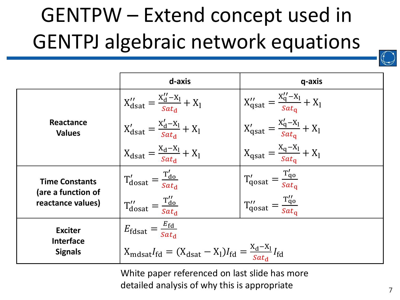## GENTPW – Extend concept used in GENTPJ algebraic network equations

|                                                                  | d-axis                                                                                                                          | q-axis                                                             |
|------------------------------------------------------------------|---------------------------------------------------------------------------------------------------------------------------------|--------------------------------------------------------------------|
| Reactance<br><b>Values</b>                                       | $X_{\text{dsat}}^{\prime\prime} = \frac{X_{\text{d}}^{\prime\prime} - X_{\text{I}}}{Sat_{\text{d}}} + X_{\text{I}}$             | $X''_{qsat} = \frac{X''_{q} - X_{l}}{Sat_{\alpha}} + X_{l}$        |
|                                                                  | $X'_{dsat} = \frac{X'_d - X_l}{sat_d} + X_l$                                                                                    | $X'_{\text{qsat}} = \frac{X'_q - X_l}{s a t_q} + X_l$              |
|                                                                  | $X_{\text{dsat}} = \frac{X_{\text{d}} - X_{\text{l}}}{Sat_{\text{d}}} + X_{\text{l}}$                                           | $X_{\text{qsat}} = \frac{X_q - X_l}{Sat_q} + X_l$                  |
| <b>Time Constants</b><br>(are a function of<br>reactance values) | $T'_{dosat} = \frac{T'_{do}}{Sat_{d}}$                                                                                          | $T'_{\text{qosat}} = \frac{T'_{\text{qo}}}{\text{Sat}_{\text{q}}}$ |
|                                                                  | $T''_{dosat} = \frac{T''_{do}}{Sat_{d}}$                                                                                        | $T''_{\text{qosat}} = \frac{T''_{\text{qo}}}{s_{at_{\text{q}}}}$   |
| <b>Exciter</b><br><b>Interface</b><br><b>Signals</b>             | $E_{\text{fdsat}} = \frac{E_{\text{fd}}}{Sat_{\text{d}}}$                                                                       |                                                                    |
|                                                                  | $X_{\text{mdsat}}I_{\text{fd}} = (X_{\text{dsat}} - X_1)I_{\text{fd}} = \frac{x_{\text{d}} - x_1}{Sat_{\text{d}}}I_{\text{fd}}$ |                                                                    |

White paper referenced on last slide has more detailed analysis of why this is appropriate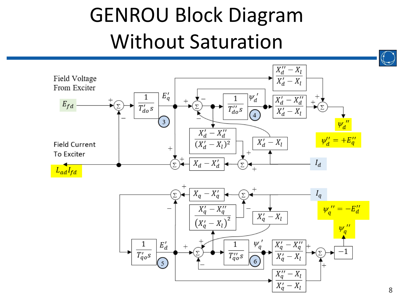## GENROU Block Diagram Without Saturation

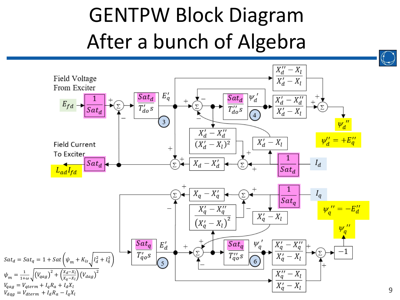## GENTPW Block Diagram After a bunch of Algebra

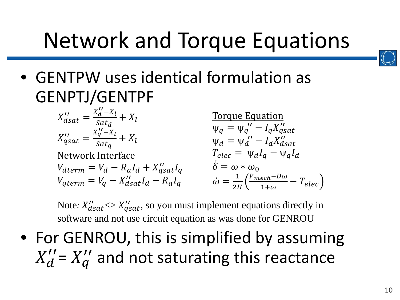## Network and Torque Equations



• GENTPW uses identical formulation as GENPTJ/GENTPF

> $X''_{dsat} =$  $\frac{X'_d - X_l}{X_d}$  $\frac{a}{Sat_d} + X_l$  $X''_{qsat} =$  $X_q''-X_l$  $\frac{q}{Sat_q} + X_l$ Network Interface  $V_{dterm} = V_d - R_a I_d + X''_{qsat} I_q$  $V_{qterm} = V_q - X_{dsat}^{\prime\prime} I_d - R_a I_q$ Torque Equation  $\Psi_{q} = \Psi_{q}^{\prime\prime} - I_{q}X_{qS}^{\prime\prime}$  $\Psi_d = \Psi_d'' - I_d X_d''$  $T_{elec} = \Psi_d I_a - \Psi_d I_d$  $\delta = \omega * \omega_0$  $\dot{\omega} = \frac{1}{2I}$  $2H$  $\frac{P_{mech} - D\omega}{1 + \omega} - T_{elec}$

Note:  $X''_{dsat} \ll X''_{qsat}$ , so you must implement equations directly in software and not use circuit equation as was done for GENROU

• For GENROU, this is simplified by assuming  $X_d^{\prime\prime}$  and not saturating this reactance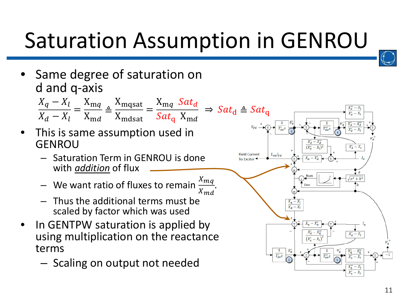## Saturation Assumption in GENROU

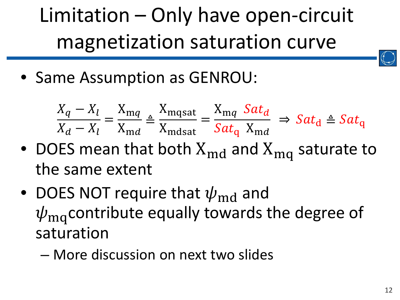Limitation – Only have open-circuit magnetization saturation curve

• Same Assumption as GENROU:

$$
\frac{X_q - X_l}{X_d - X_l} = \frac{X_{mq}}{X_{md}} \triangleq \frac{X_{mq\,sat}}{X_{md\,sat}} = \frac{X_{mq} \, Sat_d}{Sat_q \, X_{md}} \Rightarrow Sat_d \triangleq Sat_q
$$

- DOES mean that both  $X_{\text{md}}$  and  $X_{\text{mq}}$  saturate to the same extent
- DOES NOT require that  $\psi_{\text{md}}$  and  $\psi_{\rm ma}$  contribute equally towards the degree of saturation
	- More discussion on next two slides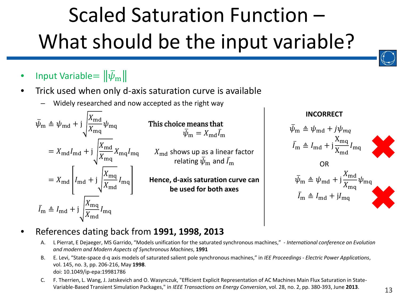## Scaled Saturation Function – What should be the input variable?

- Input Variable $= \|\psi_{\mathrm{m}}\>$
- Trick used when only d-axis saturation curve is available
	- Widely researched and now accepted as the right way

$$
\bar{\psi}_{\text{m}} \triangleq \psi_{\text{md}} + j \sqrt{\frac{X_{\text{md}}}{X_{\text{mq}}}} \psi_{\text{mq}}
$$
\n
$$
= X_{\text{md}} I_{\text{md}} + j \sqrt{\frac{X_{\text{md}}}{X_{\text{mq}}}} X_{\text{mq}} I_{\text{mq}}
$$
\n
$$
= X_{\text{md}} \left[ I_{\text{md}} + j \sqrt{\frac{X_{\text{mq}}}{X_{\text{md}}}} I_{\text{mq}} \right]
$$
\n
$$
\bar{I}_{\text{m}} \triangleq I_{\text{md}} + j \sqrt{\frac{X_{\text{mq}}}{X_{\text{md}}}} I_{\text{mq}}
$$

This choice means that  $\psi_{\rm m}=X_{\rm md}I_{\rm m}$ 

 $X_{\text{md}}$  shows up as a linear factor relating  $\bar{\psi}_{\rm m}$  and  $\bar{I}_{\rm m}$ 

**Hence, d-axis saturation curve can be used for both axes**

#### **INCORRECT**

$$
\bar{\psi}_{\text{m}} \triangleq \psi_{\text{md}} + j\psi_{mq}
$$
\n
$$
\bar{I}_{\text{m}} \triangleq I_{\text{md}} + j\frac{X_{\text{mq}}}{X_{\text{md}}}I_{\text{mq}}
$$
\nOR\n
$$
\bar{\psi}_{\text{m}} \triangleq \psi_{\text{md}} + j\frac{X_{\text{md}}}{X_{\text{mq}}}\psi_{\text{mq}}
$$
\n
$$
\bar{I}_{\text{m}} \triangleq I_{\text{md}} + jI_{\text{mq}}
$$

- References dating back from **1991, 1998, 2013**
	- A. L Pierrat, E Dejaeger, MS Garrido, "Models unification for the saturated synchronous machines," *International conference on Evolution and modern and Modern Aspects of Synchronous Machines*, **1991**
	- B. E. Levi, "State-space d-q axis models of saturated salient pole synchronous machines," in *IEE Proceedings - Electric Power Applications*, vol. 145, no. 3, pp. 206-216, May **1998**. doi: 10.1049/ip-epa:19981786
	- C. F. Therrien, L. Wang, J. Jatskevich and O. Wasynczuk, "Efficient Explicit Representation of AC Machines Main Flux Saturation in State-Variable-Based Transient Simulation Packages," in *IEEE Transactions on Energy Conversion*, vol. 28, no. 2, pp. 380-393, June **2013**.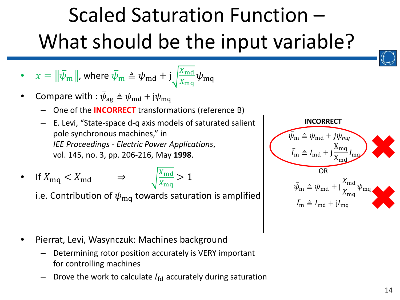## Scaled Saturation Function – What should be the input variable?

• 
$$
x = ||\bar{\psi}_{m}||
$$
, where  $\bar{\psi}_{m} \triangleq \psi_{md} + j \sqrt{\frac{X_{md}}{X_{mq}}} \psi_{mq}$ 

- Compare with :  $\bar{\psi}_{\text{ag}} \triangleq \psi_{\text{md}} + j\psi_{\text{mq}}$ 
	- One of the **INCORRECT** transformations (reference B)
	- E. Levi, "State-space d-q axis models of saturated salient pole synchronous machines," in *IEE Proceedings - Electric Power Applications*, vol. 145, no. 3, pp. 206-216, May **1998**.
- If  $X_{\text{mq}} < X_{\text{md}}$   $\Rightarrow$   $\sqrt{\frac{X_{\text{md}}}{X_{\text{mq}}}}$

i.e. Contribution of  $\psi_{\rm mq}$  towards saturation is amplified

 $X_{\text{mq}}$ 

 $>$  1

- Pierrat, Levi, Wasynczuk: Machines background
	- Determining rotor position accurately is VERY important for controlling machines
	- Drove the work to calculate  $I_{\text{fd}}$  accurately during saturation

$$
\begin{array}{c}\n\overline{\psi}_{\text{m}} \triangleq \psi_{\text{md}} + j\psi_{\text{mq}} \\
\overline{I}_{\text{m}} \triangleq I_{\text{md}} + j\frac{X_{\text{mq}}}{X_{\text{md}}}I_{\text{mq}} \\
\overline{O}R \\
\overline{\psi}_{\text{m}} \triangleq \psi_{\text{md}} + j\frac{X_{\text{md}}}{X_{\text{mq}}} \psi_{\text{mq}} \\
\overline{I}_{\text{m}} \triangleq I_{\text{md}} + jI_{\text{mq}}\n\end{array}
$$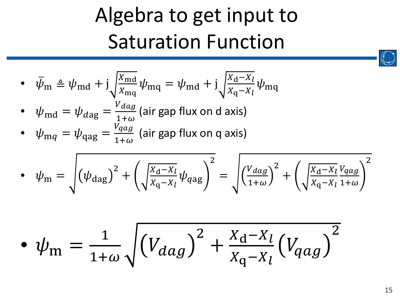## Algebra to get input to Saturation Function

• 
$$
\bar{\psi}_{m} \triangleq \psi_{md} + j \sqrt{\frac{X_{md}}{X_{mq}}} \psi_{mq} = \psi_{md} + j \sqrt{\frac{X_{d} - X_{l}}{X_{q} - X_{l}}} \psi_{mq}
$$

- $\bullet \quad \psi_{\mathrm{md}} = \psi_{d\mathrm{ag}} = \frac{V_{dag}}{1+\omega}$  (air gap flux on d axis)
- $\psi_{\text{mq}} = \psi_{\text{qag}} = \frac{V_{qag}}{1+\omega}$  (air gap flux on q axis)

$$
\bullet \quad \psi_{\rm m} = \sqrt{\left(\psi_{\rm dag}\right)^2 + \left(\sqrt{\frac{X_{\rm d} - X_{l}}{X_{\rm q} - X_{l}}}\psi_{\rm dag}\right)^2} = \sqrt{\left(\frac{V_{\rm dag}}{1 + \omega}\right)^2 + \left(\sqrt{\frac{X_{\rm d} - X_{l}}{X_{\rm q} - X_{l}}}\frac{V_{\rm dag}}{1 + \omega}\right)^2}
$$

$$
\bullet \ \psi_{\rm m} = \frac{1}{1+\omega} \sqrt{\left(V_{dag}\right)^2 + \frac{X_{\rm d} - X_{\rm l}}{X_{\rm q} - X_{\rm l}} \left(V_{qag}\right)^2}
$$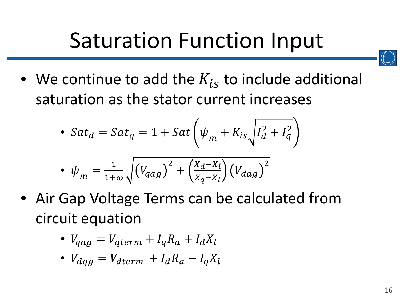## Saturation Function Input

• We continue to add the  $K_{is}$  to include additional saturation as the stator current increases

• 
$$
Sat_d = Sat_q = 1 + Sat \left(\psi_m + K_{is} \sqrt{I_d^2 + I_q^2}\right)
$$

$$
\bullet \ \psi_m = \frac{1}{1+\omega} \sqrt{\left(V_{qag}\right)^2 + \left(\frac{X_d - X_l}{X_q - X_l}\right) \left(V_{dag}\right)^2}
$$

• Air Gap Voltage Terms can be calculated from circuit equation

• 
$$
V_{qag} = V_{qterm} + I_q R_a + I_d X_l
$$

• 
$$
V_{dqg} = V_{dterm} + I_d R_a - I_q X_l
$$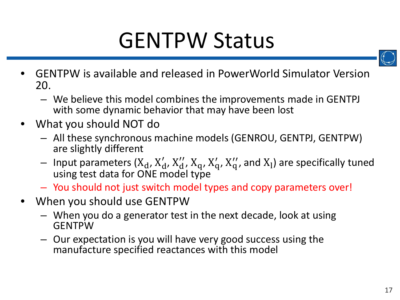## GENTPW Status



- GENTPW is available and released in PowerWorld Simulator Version 20.
	- We believe this model combines the improvements made in GENTPJ with some dynamic behavior that may have been lost
- What you should NOT do
	- All these synchronous machine models (GENROU, GENTPJ, GENTPW) are slightly different
	- Input parameters  $(X_d, X'_d, X''_d, X_q, X'_q, X''_q)$  and  $X_l$ ) are specifically tuned using test data for ONE model type
	- You should not just switch model types and copy parameters over!
- When you should use GENTPW
	- When you do a generator test in the next decade, look at using **GENTPW**
	- Our expectation is you will have very good success using the manufacture specified reactances with this model